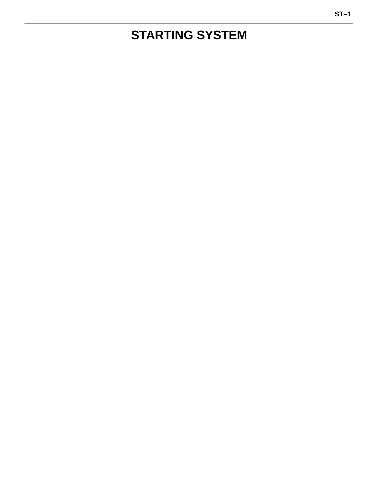# **STARTING SYSTEM**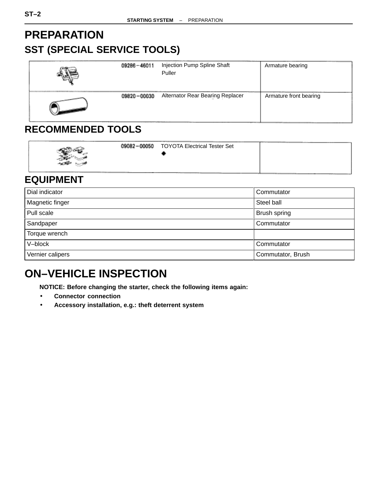# **PREPARATION SST (SPECIAL SERVICE TOOLS)**

| 09286-46011 | Injection Pump Spline Shaft<br>Puller | Armature bearing       |
|-------------|---------------------------------------|------------------------|
| 09820-00030 | Alternator Rear Bearing Replacer      | Armature front bearing |

### **RECOMMENDED TOOLS**

| - 20 |  | 09082-00050<br><b>TOYOTA Electrical Tester Set</b> |  |
|------|--|----------------------------------------------------|--|
|------|--|----------------------------------------------------|--|

### **EQUIPMENT**

| Dial indicator   | Commutator        |
|------------------|-------------------|
| Magnetic finger  | Steel ball        |
| Pull scale       | Brush spring      |
| Sandpaper        | Commutator        |
| Torque wrench    |                   |
| V-block          | Commutator        |
| Vernier calipers | Commutator, Brush |

# **ON–VEHICLE INSPECTION**

**NOTICE: Before changing the starter, check the following items again:**

- **Connector connection**
- **Accessory installation, e.g.: theft deterrent system**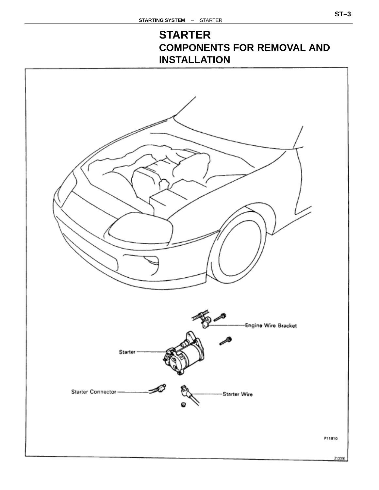# **STARTER COMPONENTS FOR REMOVAL AND INSTALLATION**

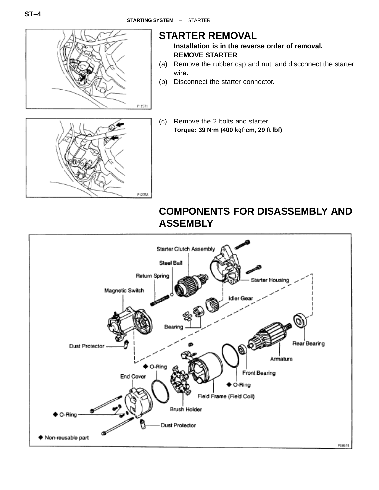P12358



### **STARTER REMOVAL**

**Installation is in the reverse order of removal. REMOVE STARTER**

- (a) Remove the rubber cap and nut, and disconnect the starter wire.
- (b) Disconnect the starter connector.
- (c) Remove the 2 bolts and starter. **Torque: 39 N**⋅**m (400 kgf**⋅**cm, 29 ft**⋅**lbf)**



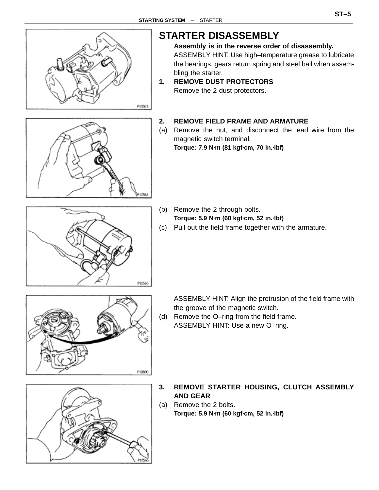

# **STARTER DISASSEMBLY**

**Assembly is in the reverse order of disassembly.** ASSEMBLY HINT: Use high–temperature grease to lubricate the bearings, gears return spring and steel ball when assembling the starter.

**1. REMOVE DUST PROTECTORS** Remove the 2 dust protectors.

#### **2. REMOVE FIELD FRAME AND ARMATURE**

(a) Remove the nut, and disconnect the lead wire from the magnetic switch terminal. **Torque: 7.9 N**⋅**m (81 kgf**⋅**cm, 70 in.**⋅**lbf)**

- P10565
- (b) Remove the 2 through bolts. **Torque: 5.9 N**⋅**m (60 kgf**⋅**cm, 52 in.**⋅**lbf)**
- (c) Pull out the field frame together with the armature.



ASSEMBLY HINT: Align the protrusion of the field frame with the groove of the magnetic switch.

(d) Remove the O–ring from the field frame. ASSEMBLY HINT: Use a new O–ring.



- **3. REMOVE STARTER HOUSING, CLUTCH ASSEMBLY AND GEAR**
- (a) Remove the 2 bolts. **Torque: 5.9 N**⋅**m (60 kgf**⋅**cm, 52 in.**⋅**lbf)**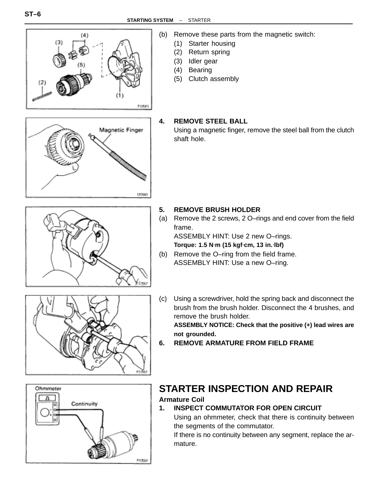

- (b) Remove these parts from the magnetic switch:
	- (1) Starter housing
	- (2) Return spring
	- (3) Idler gear
	- (4) Bearing
	- (5) Clutch assembly

#### **4. REMOVE STEEL BALL**

Using a magnetic finger, remove the steel ball from the clutch shaft hole.

- **5. REMOVE BRUSH HOLDER**
	- (a) Remove the 2 screws, 2 O–rings and end cover from the field frame. ASSEMBLY HINT: Use 2 new O–rings.

**Torque: 1.5 N**⋅**m (15 kgf**⋅**cm, 13 in.**⋅**lbf)**

- (b) Remove the O–ring from the field frame. ASSEMBLY HINT: Use a new O–ring.
- (c) Using a screwdriver, hold the spring back and disconnect the brush from the brush holder. Disconnect the 4 brushes, and remove the brush holder.

**ASSEMBLY NOTICE: Check that the positive (+) lead wires are not grounded.**

**6. REMOVE ARMATURE FROM FIELD FRAME**



### **STARTER INSPECTION AND REPAIR Armature Coil**

#### **1. INSPECT COMMUTATOR FOR OPEN CIRCUIT**

Using an ohmmeter, check that there is continuity between the segments of the commutator.

If there is no continuity between any segment, replace the armature.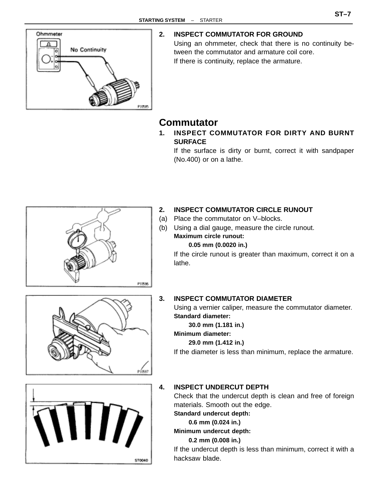

#### **2. INSPECT COMMUTATOR FOR GROUND**

Using an ohmmeter, check that there is no continuity between the commutator and armature coil core. If there is continuity, replace the armature.

### **Commutator**

**1. INSPECT COMMUTATOR FOR DIRTY AND BURNT SURFACE**

If the surface is dirty or burnt, correct it with sandpaper (No.400) or on a lathe.



#### **2. INSPECT COMMUTATOR CIRCLE RUNOUT**

- (a) Place the commutator on V–blocks.
- (b) Using a dial gauge, measure the circle runout. **Maximum circle runout:**

#### **0.05 mm (0.0020 in.)**

If the circle runout is greater than maximum, correct it on a lathe.





#### **3. INSPECT COMMUTATOR DIAMETER**

Using a vernier caliper, measure the commutator diameter. **Standard diameter:**

**30.0 mm (1.181 in.)**

**Minimum diameter:**

#### **29.0 mm (1.412 in.)**

If the diameter is less than minimum, replace the armature.

#### **4. INSPECT UNDERCUT DEPTH**

Check that the undercut depth is clean and free of foreign materials. Smooth out the edge.

**Standard undercut depth:**

#### **0.6 mm (0.024 in.)**

#### **Minimum undercut depth:**

**0.2 mm (0.008 in.)**

If the undercut depth is less than minimum, correct it with a hacksaw blade.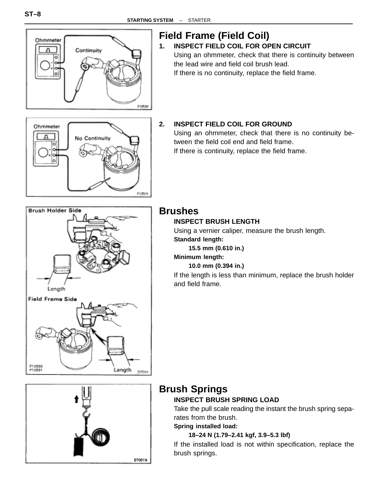

# **Field Frame (Field Coil)**

### **1. INSPECT FIELD COIL FOR OPEN CIRCUIT**

Using an ohmmeter, check that there is continuity between the lead wire and field coil brush lead. If there is no continuity, replace the field frame.



### **2. INSPECT FIELD COIL FOR GROUND**

Using an ohmmeter, check that there is no continuity between the field coil end and field frame. If there is continuity, replace the field frame.



### **Brushes**

#### **INSPECT BRUSH LENGTH**

Using a vernier caliper, measure the brush length. **Standard length:**

**15.5 mm (0.610 in.)**

#### **Minimum length:**

#### **10.0 mm (0.394 in.)**

If the length is less than minimum, replace the brush holder and field frame.



Length

207019

P10590<br>P10591

### **Brush Springs**

#### **INSPECT BRUSH SPRING LOAD**

Take the pull scale reading the instant the brush spring separates from the brush.

**Spring installed load:**

#### **18–24 N (1.79–2.41 kgf, 3.9–5.3 lbf)**

If the installed load is not within specification, replace the brush springs.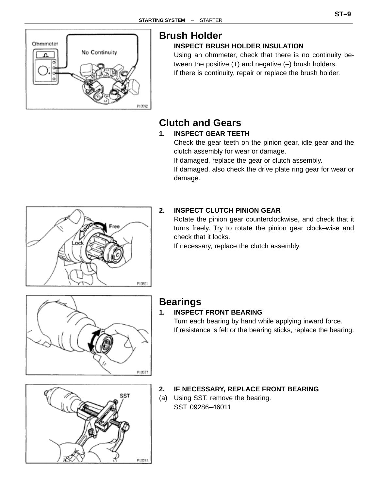

# **Brush Holder**

#### **INSPECT BRUSH HOLDER INSULATION**

Using an ohmmeter, check that there is no continuity between the positive  $(+)$  and negative  $(-)$  brush holders. If there is continuity, repair or replace the brush holder.

# **Clutch and Gears**

#### **1. INSPECT GEAR TEETH**

Check the gear teeth on the pinion gear, idle gear and the clutch assembly for wear or damage.

If damaged, replace the gear or clutch assembly.

If damaged, also check the drive plate ring gear for wear or damage.



#### **2. INSPECT CLUTCH PINION GEAR**

Rotate the pinion gear counterclockwise, and check that it turns freely. Try to rotate the pinion gear clock–wise and check that it locks.

If necessary, replace the clutch assembly.



### **Bearings**

#### **1. INSPECT FRONT BEARING**

Turn each bearing by hand while applying inward force. If resistance is felt or the bearing sticks, replace the bearing.



#### **2. IF NECESSARY, REPLACE FRONT BEARING**

(a) Using SST, remove the bearing. SST 09286–46011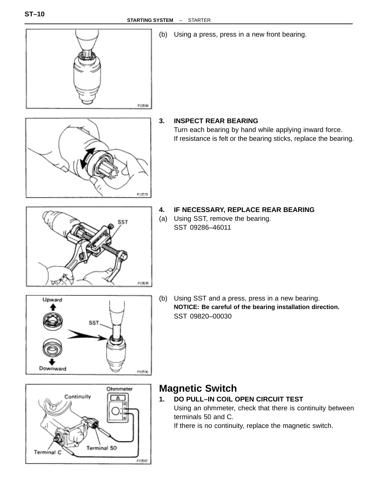

Terminal 50

P10597

Terminal C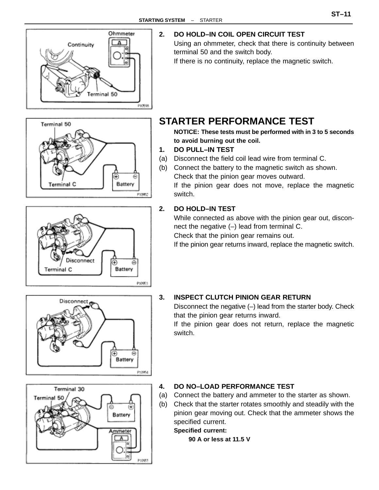

G

۵

P10954

P10952

∓ Battery

⊕

Battery

Terminal 50

Terminal C

Terminal C

**2. DO HOLD–IN COIL OPEN CIRCUIT TEST**

Using an ohmmeter, check that there is continuity between terminal 50 and the switch body.

If there is no continuity, replace the magnetic switch.

### **STARTER PERFORMANCE TEST**

**NOTICE: These tests must be performed with in 3 to 5 seconds to avoid burning out the coil.**

- **1. DO PULL–IN TEST**
- (a) Disconnect the field coil lead wire from terminal C.
- (b) Connect the battery to the magnetic switch as shown. Check that the pinion gear moves outward.

If the pinion gear does not move, replace the magnetic switch.

#### **2. DO HOLD–IN TEST**

While connected as above with the pinion gear out, disconnect the negative (–) lead from terminal C.

Check that the pinion gear remains out.

If the pinion gear returns inward, replace the magnetic switch.



Disconnect



Disconnect the negative (–) lead from the starter body. Check that the pinion gear returns inward.

If the pinion gear does not return, replace the magnetic switch.



#### **4. DO NO–LOAD PERFORMANCE TEST**

- (a) Connect the battery and ammeter to the starter as shown.
- (b) Check that the starter rotates smoothly and steadily with the pinion gear moving out. Check that the ammeter shows the specified current.

#### **Specified current:**

**90 A or less at 11.5 V**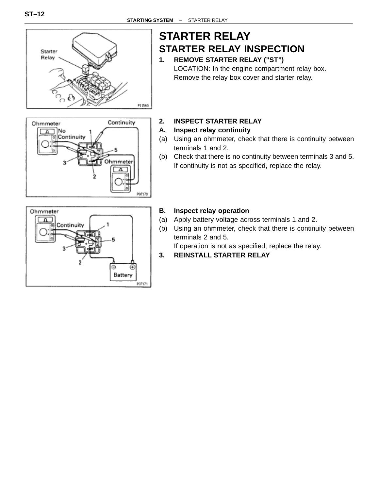

# Continuity Ohmmeter No Continuity Ohmmeter P07170

# **STARTER RELAY STARTER RELAY INSPECTION**

- **1. REMOVE STARTER RELAY ("ST")** LOCATION: In the engine compartment relay box. Remove the relay box cover and starter relay.
- **2. INSPECT STARTER RELAY**
- **A. Inspect relay continuity**
- (a) Using an ohmmeter, check that there is continuity between terminals 1 and 2.
- (b) Check that there is no continuity between terminals 3 and 5. If continuity is not as specified, replace the relay.



#### **B. Inspect relay operation**

- (a) Apply battery voltage across terminals 1 and 2.
- (b) Using an ohmmeter, check that there is continuity between terminals 2 and 5.

If operation is not as specified, replace the relay.

**3. REINSTALL STARTER RELAY**